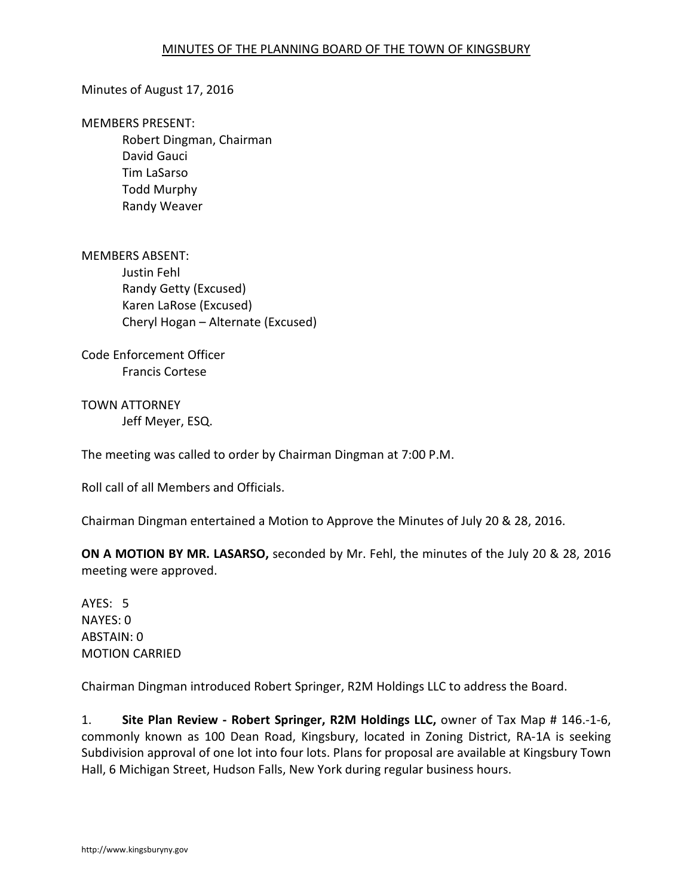### Minutes of August 17, 2016

MEMBERS PRESENT:

Robert Dingman, Chairman David Gauci Tim LaSarso Todd Murphy Randy Weaver

MEMBERS ABSENT: Justin Fehl Randy Getty (Excused) Karen LaRose (Excused) Cheryl Hogan – Alternate (Excused)

Code Enforcement Officer Francis Cortese

TOWN ATTORNEY Jeff Meyer, ESQ.

The meeting was called to order by Chairman Dingman at 7:00 P.M.

Roll call of all Members and Officials.

Chairman Dingman entertained a Motion to Approve the Minutes of July 20 & 28, 2016.

**ON A MOTION BY MR. LASARSO,** seconded by Mr. Fehl, the minutes of the July 20 & 28, 2016 meeting were approved.

AYES: 5 NAYES: 0 ABSTAIN: 0 MOTION CARRIED

Chairman Dingman introduced Robert Springer, R2M Holdings LLC to address the Board.

1. **Site Plan Review - Robert Springer, R2M Holdings LLC,** owner of Tax Map # 146.-1-6, commonly known as 100 Dean Road, Kingsbury, located in Zoning District, RA-1A is seeking Subdivision approval of one lot into four lots. Plans for proposal are available at Kingsbury Town Hall, 6 Michigan Street, Hudson Falls, New York during regular business hours.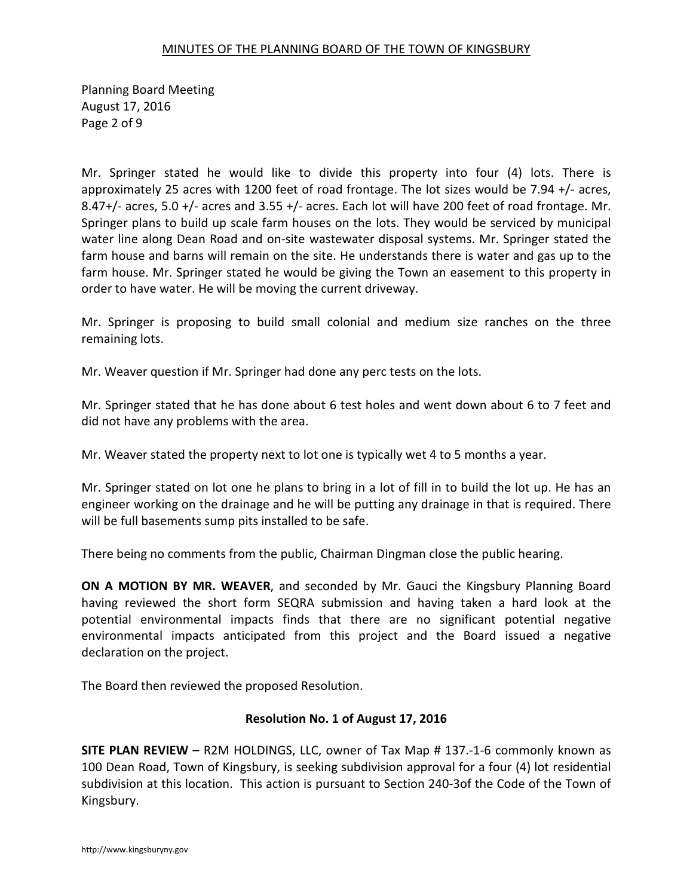Planning Board Meeting August 17, 2016 Page 2 of 9

Mr. Springer stated he would like to divide this property into four (4) lots. There is approximately 25 acres with 1200 feet of road frontage. The lot sizes would be 7.94 +/- acres, 8.47+/- acres, 5.0 +/- acres and 3.55 +/- acres. Each lot will have 200 feet of road frontage. Mr. Springer plans to build up scale farm houses on the lots. They would be serviced by municipal water line along Dean Road and on-site wastewater disposal systems. Mr. Springer stated the farm house and barns will remain on the site. He understands there is water and gas up to the farm house. Mr. Springer stated he would be giving the Town an easement to this property in order to have water. He will be moving the current driveway.

Mr. Springer is proposing to build small colonial and medium size ranches on the three remaining lots.

Mr. Weaver question if Mr. Springer had done any perc tests on the lots.

Mr. Springer stated that he has done about 6 test holes and went down about 6 to 7 feet and did not have any problems with the area.

Mr. Weaver stated the property next to lot one is typically wet 4 to 5 months a year.

Mr. Springer stated on lot one he plans to bring in a lot of fill in to build the lot up. He has an engineer working on the drainage and he will be putting any drainage in that is required. There will be full basements sump pits installed to be safe.

There being no comments from the public, Chairman Dingman close the public hearing.

**ON A MOTION BY MR. WEAVER**, and seconded by Mr. Gauci the Kingsbury Planning Board having reviewed the short form SEQRA submission and having taken a hard look at the potential environmental impacts finds that there are no significant potential negative environmental impacts anticipated from this project and the Board issued a negative declaration on the project.

The Board then reviewed the proposed Resolution.

#### **Resolution No. 1 of August 17, 2016**

**SITE PLAN REVIEW** – R2M HOLDINGS, LLC, owner of Tax Map # 137.-1-6 commonly known as 100 Dean Road, Town of Kingsbury, is seeking subdivision approval for a four (4) lot residential subdivision at this location. This action is pursuant to Section 240-3of the Code of the Town of Kingsbury.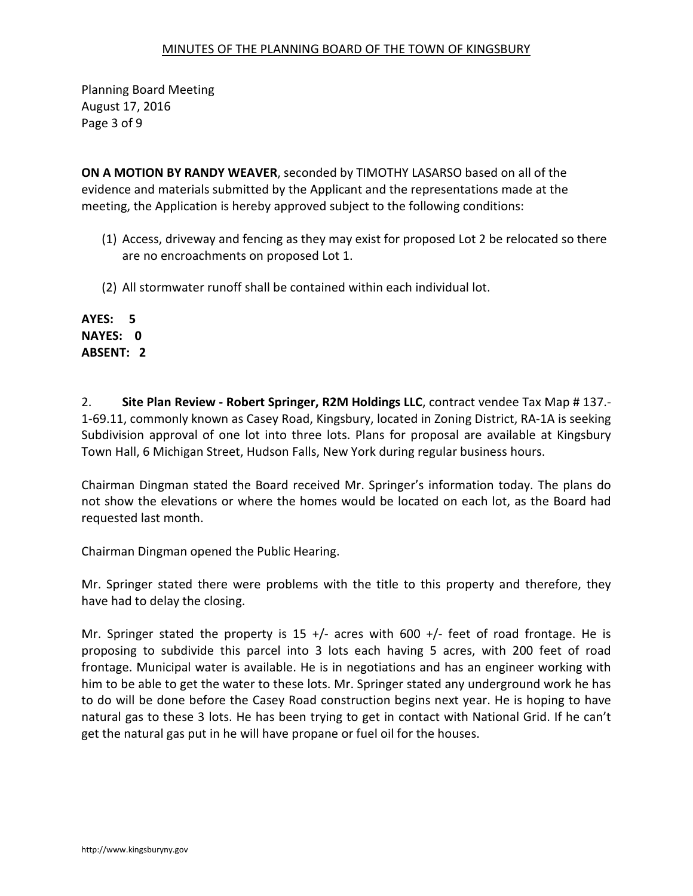Planning Board Meeting August 17, 2016 Page 3 of 9

**ON A MOTION BY RANDY WEAVER**, seconded by TIMOTHY LASARSO based on all of the evidence and materials submitted by the Applicant and the representations made at the meeting, the Application is hereby approved subject to the following conditions:

- (1) Access, driveway and fencing as they may exist for proposed Lot 2 be relocated so there are no encroachments on proposed Lot 1.
- (2) All stormwater runoff shall be contained within each individual lot.

**AYES: 5 NAYES: 0 ABSENT: 2**

2. **Site Plan Review - Robert Springer, R2M Holdings LLC**, contract vendee Tax Map # 137.- 1-69.11, commonly known as Casey Road, Kingsbury, located in Zoning District, RA-1A is seeking Subdivision approval of one lot into three lots. Plans for proposal are available at Kingsbury Town Hall, 6 Michigan Street, Hudson Falls, New York during regular business hours.

Chairman Dingman stated the Board received Mr. Springer's information today. The plans do not show the elevations or where the homes would be located on each lot, as the Board had requested last month.

Chairman Dingman opened the Public Hearing.

Mr. Springer stated there were problems with the title to this property and therefore, they have had to delay the closing.

Mr. Springer stated the property is 15 +/- acres with 600 +/- feet of road frontage. He is proposing to subdivide this parcel into 3 lots each having 5 acres, with 200 feet of road frontage. Municipal water is available. He is in negotiations and has an engineer working with him to be able to get the water to these lots. Mr. Springer stated any underground work he has to do will be done before the Casey Road construction begins next year. He is hoping to have natural gas to these 3 lots. He has been trying to get in contact with National Grid. If he can't get the natural gas put in he will have propane or fuel oil for the houses.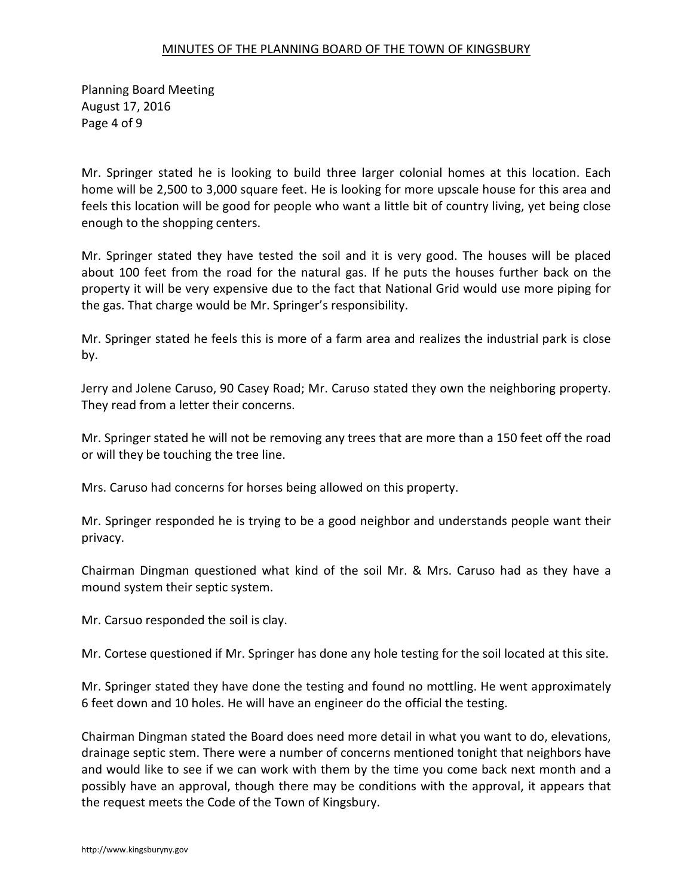Planning Board Meeting August 17, 2016 Page 4 of 9

Mr. Springer stated he is looking to build three larger colonial homes at this location. Each home will be 2,500 to 3,000 square feet. He is looking for more upscale house for this area and feels this location will be good for people who want a little bit of country living, yet being close enough to the shopping centers.

Mr. Springer stated they have tested the soil and it is very good. The houses will be placed about 100 feet from the road for the natural gas. If he puts the houses further back on the property it will be very expensive due to the fact that National Grid would use more piping for the gas. That charge would be Mr. Springer's responsibility.

Mr. Springer stated he feels this is more of a farm area and realizes the industrial park is close by.

Jerry and Jolene Caruso, 90 Casey Road; Mr. Caruso stated they own the neighboring property. They read from a letter their concerns.

Mr. Springer stated he will not be removing any trees that are more than a 150 feet off the road or will they be touching the tree line.

Mrs. Caruso had concerns for horses being allowed on this property.

Mr. Springer responded he is trying to be a good neighbor and understands people want their privacy.

Chairman Dingman questioned what kind of the soil Mr. & Mrs. Caruso had as they have a mound system their septic system.

Mr. Carsuo responded the soil is clay.

Mr. Cortese questioned if Mr. Springer has done any hole testing for the soil located at this site.

Mr. Springer stated they have done the testing and found no mottling. He went approximately 6 feet down and 10 holes. He will have an engineer do the official the testing.

Chairman Dingman stated the Board does need more detail in what you want to do, elevations, drainage septic stem. There were a number of concerns mentioned tonight that neighbors have and would like to see if we can work with them by the time you come back next month and a possibly have an approval, though there may be conditions with the approval, it appears that the request meets the Code of the Town of Kingsbury.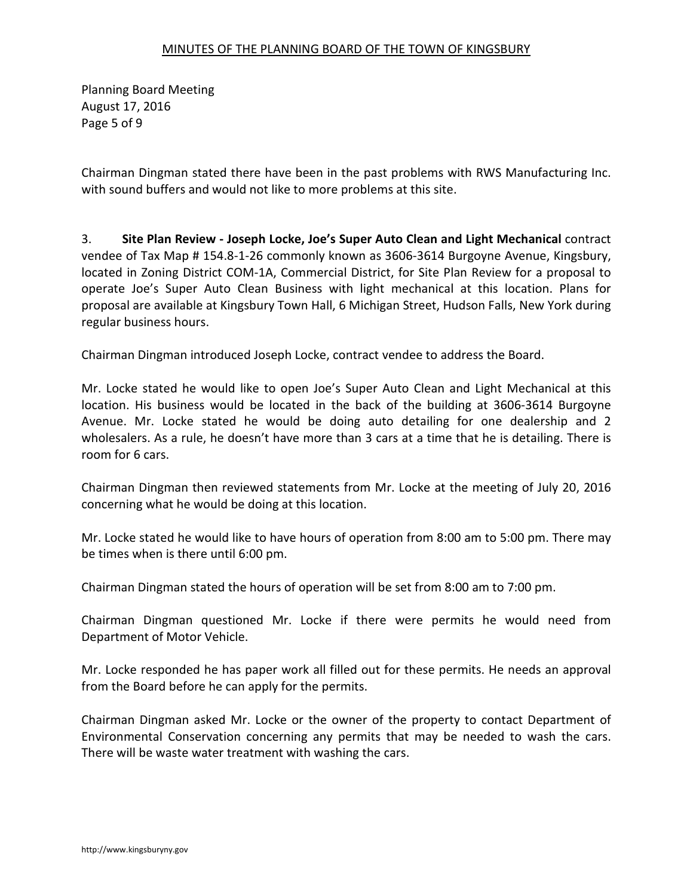Planning Board Meeting August 17, 2016 Page 5 of 9

Chairman Dingman stated there have been in the past problems with RWS Manufacturing Inc. with sound buffers and would not like to more problems at this site.

3. **Site Plan Review - Joseph Locke, Joe's Super Auto Clean and Light Mechanical** contract vendee of Tax Map # 154.8-1-26 commonly known as 3606-3614 Burgoyne Avenue, Kingsbury, located in Zoning District COM-1A, Commercial District, for Site Plan Review for a proposal to operate Joe's Super Auto Clean Business with light mechanical at this location. Plans for proposal are available at Kingsbury Town Hall, 6 Michigan Street, Hudson Falls, New York during regular business hours.

Chairman Dingman introduced Joseph Locke, contract vendee to address the Board.

Mr. Locke stated he would like to open Joe's Super Auto Clean and Light Mechanical at this location. His business would be located in the back of the building at 3606-3614 Burgoyne Avenue. Mr. Locke stated he would be doing auto detailing for one dealership and 2 wholesalers. As a rule, he doesn't have more than 3 cars at a time that he is detailing. There is room for 6 cars.

Chairman Dingman then reviewed statements from Mr. Locke at the meeting of July 20, 2016 concerning what he would be doing at this location.

Mr. Locke stated he would like to have hours of operation from 8:00 am to 5:00 pm. There may be times when is there until 6:00 pm.

Chairman Dingman stated the hours of operation will be set from 8:00 am to 7:00 pm.

Chairman Dingman questioned Mr. Locke if there were permits he would need from Department of Motor Vehicle.

Mr. Locke responded he has paper work all filled out for these permits. He needs an approval from the Board before he can apply for the permits.

Chairman Dingman asked Mr. Locke or the owner of the property to contact Department of Environmental Conservation concerning any permits that may be needed to wash the cars. There will be waste water treatment with washing the cars.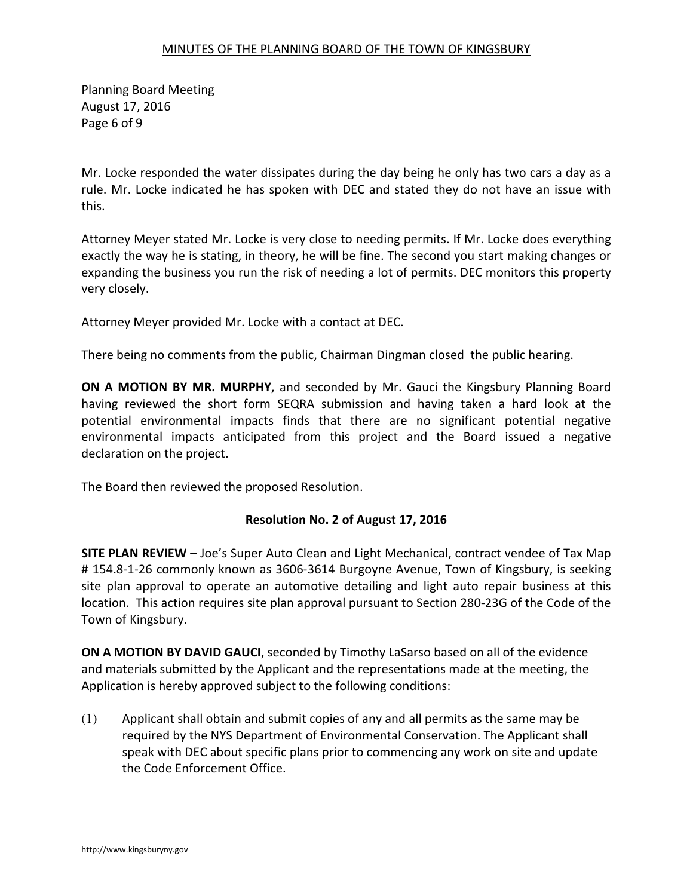Planning Board Meeting August 17, 2016 Page 6 of 9

Mr. Locke responded the water dissipates during the day being he only has two cars a day as a rule. Mr. Locke indicated he has spoken with DEC and stated they do not have an issue with this.

Attorney Meyer stated Mr. Locke is very close to needing permits. If Mr. Locke does everything exactly the way he is stating, in theory, he will be fine. The second you start making changes or expanding the business you run the risk of needing a lot of permits. DEC monitors this property very closely.

Attorney Meyer provided Mr. Locke with a contact at DEC.

There being no comments from the public, Chairman Dingman closed the public hearing.

**ON A MOTION BY MR. MURPHY**, and seconded by Mr. Gauci the Kingsbury Planning Board having reviewed the short form SEQRA submission and having taken a hard look at the potential environmental impacts finds that there are no significant potential negative environmental impacts anticipated from this project and the Board issued a negative declaration on the project.

The Board then reviewed the proposed Resolution.

# **Resolution No. 2 of August 17, 2016**

**SITE PLAN REVIEW** – Joe's Super Auto Clean and Light Mechanical, contract vendee of Tax Map # 154.8-1-26 commonly known as 3606-3614 Burgoyne Avenue, Town of Kingsbury, is seeking site plan approval to operate an automotive detailing and light auto repair business at this location. This action requires site plan approval pursuant to Section 280-23G of the Code of the Town of Kingsbury.

**ON A MOTION BY DAVID GAUCI**, seconded by Timothy LaSarso based on all of the evidence and materials submitted by the Applicant and the representations made at the meeting, the Application is hereby approved subject to the following conditions:

(1) Applicant shall obtain and submit copies of any and all permits as the same may be required by the NYS Department of Environmental Conservation. The Applicant shall speak with DEC about specific plans prior to commencing any work on site and update the Code Enforcement Office.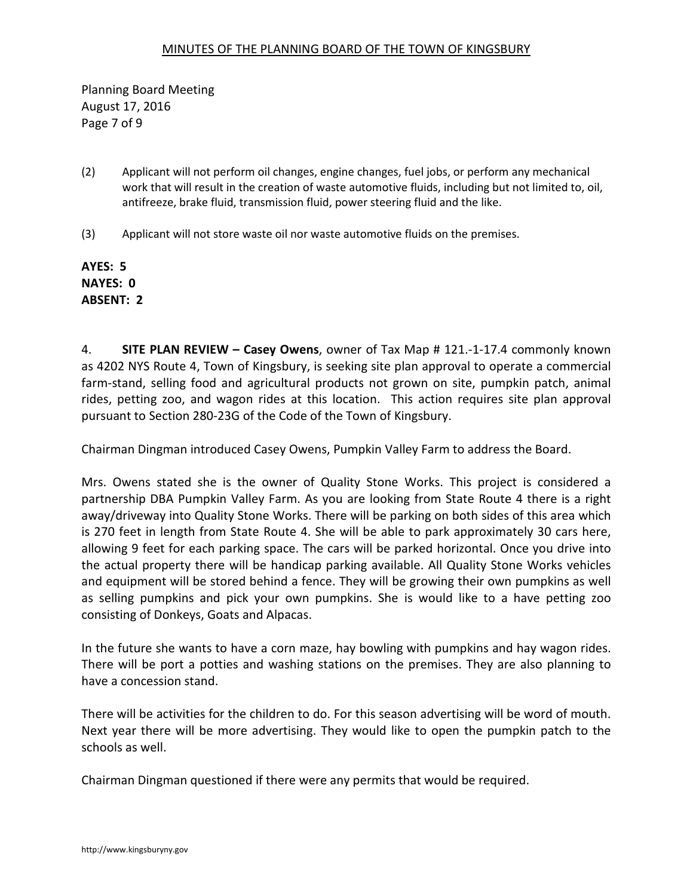Planning Board Meeting August 17, 2016 Page 7 of 9

- (2) Applicant will not perform oil changes, engine changes, fuel jobs, or perform any mechanical work that will result in the creation of waste automotive fluids, including but not limited to, oil, antifreeze, brake fluid, transmission fluid, power steering fluid and the like.
- (3) Applicant will not store waste oil nor waste automotive fluids on the premises.

**AYES: 5 NAYES: 0 ABSENT: 2** 

4. **SITE PLAN REVIEW – Casey Owens**, owner of Tax Map # 121.-1-17.4 commonly known as 4202 NYS Route 4, Town of Kingsbury, is seeking site plan approval to operate a commercial farm-stand, selling food and agricultural products not grown on site, pumpkin patch, animal rides, petting zoo, and wagon rides at this location. This action requires site plan approval pursuant to Section 280-23G of the Code of the Town of Kingsbury.

Chairman Dingman introduced Casey Owens, Pumpkin Valley Farm to address the Board.

Mrs. Owens stated she is the owner of Quality Stone Works. This project is considered a partnership DBA Pumpkin Valley Farm. As you are looking from State Route 4 there is a right away/driveway into Quality Stone Works. There will be parking on both sides of this area which is 270 feet in length from State Route 4. She will be able to park approximately 30 cars here, allowing 9 feet for each parking space. The cars will be parked horizontal. Once you drive into the actual property there will be handicap parking available. All Quality Stone Works vehicles and equipment will be stored behind a fence. They will be growing their own pumpkins as well as selling pumpkins and pick your own pumpkins. She is would like to a have petting zoo consisting of Donkeys, Goats and Alpacas.

In the future she wants to have a corn maze, hay bowling with pumpkins and hay wagon rides. There will be port a potties and washing stations on the premises. They are also planning to have a concession stand.

There will be activities for the children to do. For this season advertising will be word of mouth. Next year there will be more advertising. They would like to open the pumpkin patch to the schools as well.

Chairman Dingman questioned if there were any permits that would be required.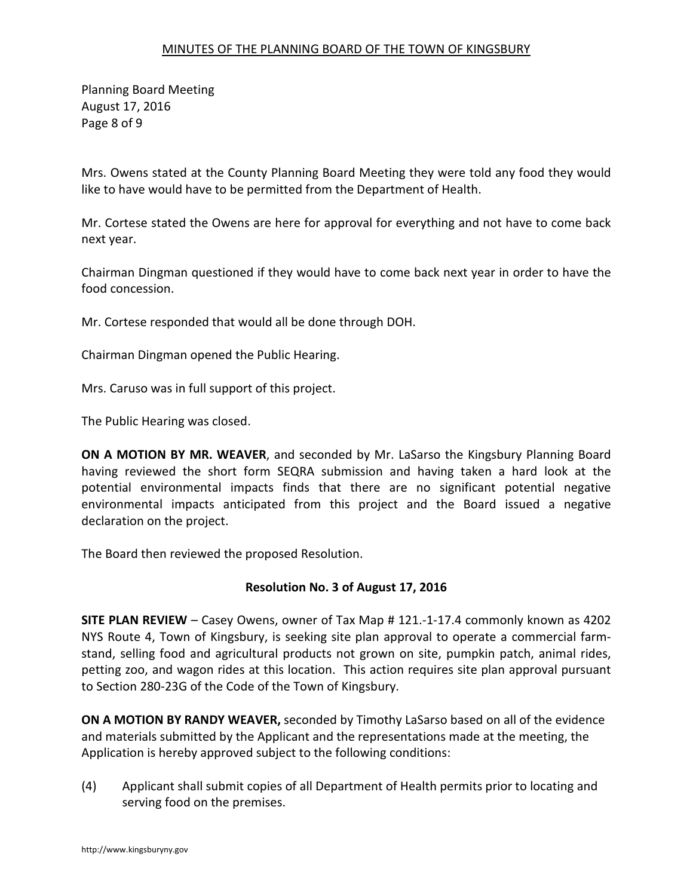Planning Board Meeting August 17, 2016 Page 8 of 9

Mrs. Owens stated at the County Planning Board Meeting they were told any food they would like to have would have to be permitted from the Department of Health.

Mr. Cortese stated the Owens are here for approval for everything and not have to come back next year.

Chairman Dingman questioned if they would have to come back next year in order to have the food concession.

Mr. Cortese responded that would all be done through DOH.

Chairman Dingman opened the Public Hearing.

Mrs. Caruso was in full support of this project.

The Public Hearing was closed.

**ON A MOTION BY MR. WEAVER**, and seconded by Mr. LaSarso the Kingsbury Planning Board having reviewed the short form SEQRA submission and having taken a hard look at the potential environmental impacts finds that there are no significant potential negative environmental impacts anticipated from this project and the Board issued a negative declaration on the project.

The Board then reviewed the proposed Resolution.

# **Resolution No. 3 of August 17, 2016**

**SITE PLAN REVIEW** – Casey Owens, owner of Tax Map # 121.-1-17.4 commonly known as 4202 NYS Route 4, Town of Kingsbury, is seeking site plan approval to operate a commercial farmstand, selling food and agricultural products not grown on site, pumpkin patch, animal rides, petting zoo, and wagon rides at this location. This action requires site plan approval pursuant to Section 280-23G of the Code of the Town of Kingsbury.

**ON A MOTION BY RANDY WEAVER,** seconded by Timothy LaSarso based on all of the evidence and materials submitted by the Applicant and the representations made at the meeting, the Application is hereby approved subject to the following conditions:

(4) Applicant shall submit copies of all Department of Health permits prior to locating and serving food on the premises.